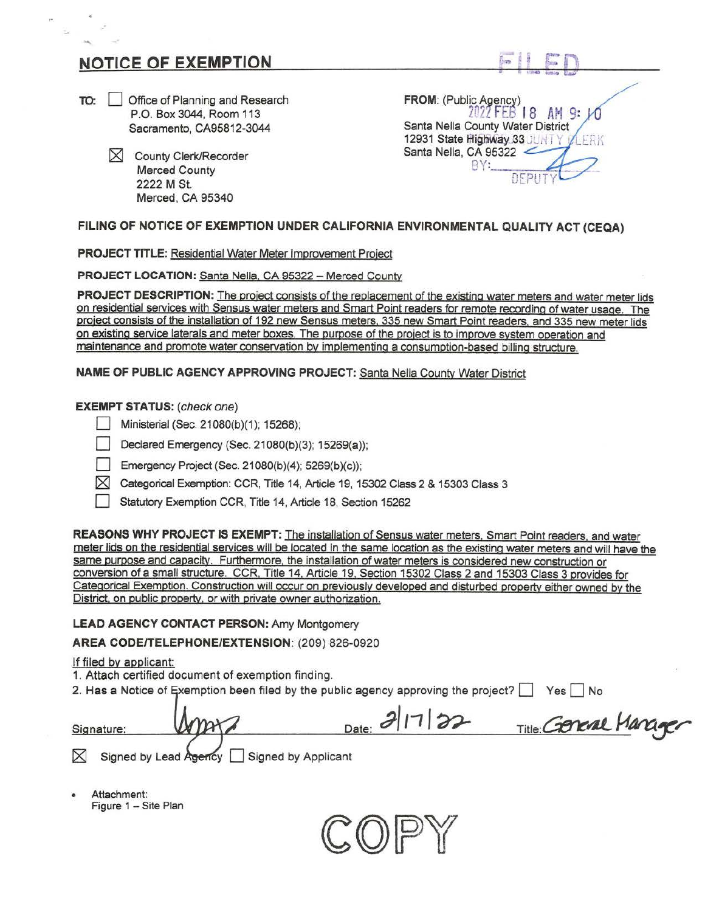# **NOTICE OF EXEMPTION**

.,

- **10: Deffice of Planning and Research** P.O. Box 3044, Room 113 Sacramento, CA95812-3044
	- $\times$  County Clerk/Recorder Merced County 2222 **M** St. Merced, CA 95340

**FROM:** (Public Agency) 2022 FEB 18 AM 9: Santa Nella County Water District 12931 State Highway.33 JUNTY VLERK Santa Nella, CA 95322

## **FILING OF NOTICE OF EXEMPTION UNDER CALIFORNIA ENVIRONMENTAL QUALITY ACT (CEQA)**

**PROJECT TITLE:** Residential Water Meter Improvement Project

**PROJECT LOCATION: Santa Nella, CA 95322 - Merced County** 

**PROJECT DESCRIPTION:** The project consists of the replacement of the existing water meters and water meter lids on residential services with Sensus water meters and Smart Point readers for remote recording of water usage. The project consists of the installation of 192 new Sensus meters, 335 new Smart Point readers, and 335 new meter lids on existing service laterals and meter boxes. The purpose of the project is to improve system operation and maintenance and promote water conservation by implementing a consumption-based billing structure.

**NAME OF PUBLIC AGENCY APPROVING PROJECT:** Santa Nella County Water District

### **EXEMPT STATUS:** (check one)

- Ministerial (Sec. 21080(b)(1); 15268);
- Declared Emergency (Sec. 21080(b)(3); 15269(a));
- Emergency Project (Sec. 21080(b)(4); 5269(b)(c));
- $\boxtimes$  Categorical Exemption: CCR, Title 14, Article 19, 15302 Class 2 & 15303 Class 3
- Statutory Exemption CCR, Title 14, Article 18, Section 15262

**REASONS WHY PROJECT IS EXEMPT:** The installation of Sensus water meters, Smart Point readers, and water meter lids on the residential services will be located in the same location as the existing water meters and will have the same purpose and capacity. Furthermore, the installation of water meters is considered new construction or conversion of a small structure. CCR. Title 14, Article 19, Section 15302 Class 2 and 15303 Class 3 provides for Categorical Exemption. Construction will occur on previously developed and disturbed property either owned by the District, on public property, or with private owner authorization.

**LEAD AGENCY CONTACT PERSON:** Amy Montgomery

**AREA CODEITELEPHONE/EXTENSION:** (209) 826-0920

If filed by applicant:

1. Attach certified document of exemption finding.

2. Has a Notice of Exemption been filed by the public agency approving the project? Yes No

| Signature: | M <sub>max</sub>                          | $_{Date:} 2 1 22$ | Title Goreal Manager |
|------------|-------------------------------------------|-------------------|----------------------|
|            | Signed by Lead Agency Signed by Applicant |                   |                      |

• Attachment: Figure 1 - Site Plan

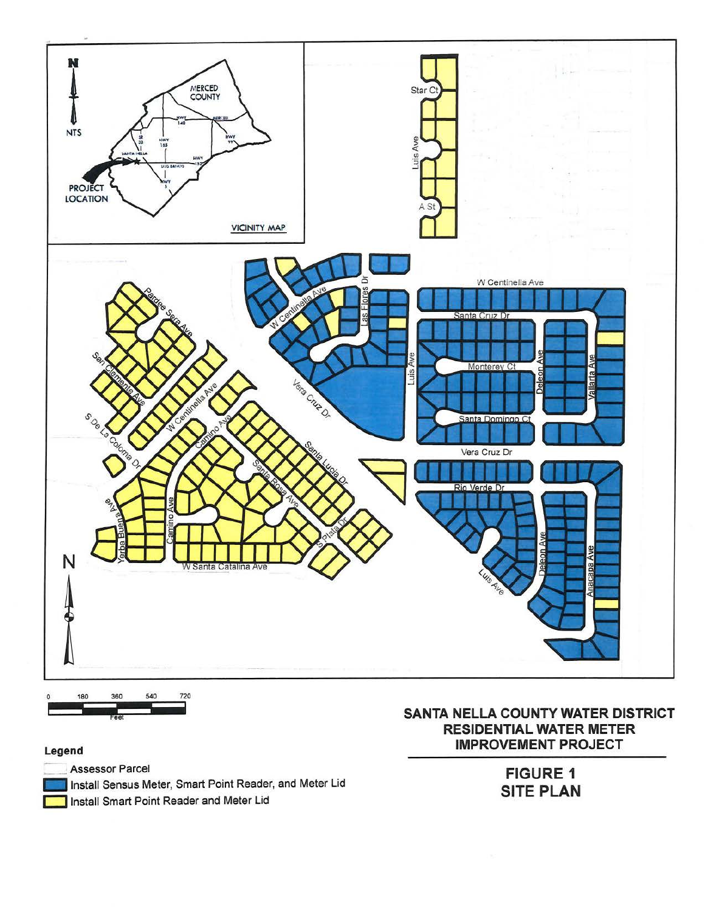

#### Legend

**Assessor Parcel** Install Sensus Meter, Smart Point Reader, and Meter Lid Install Smart Point Reader and Meter Lid

## SANTA NELLA COUNTY WATER DISTRICT **RESIDENTIAL WATER METER IMPROVEMENT PROJECT**

**FIGURE 1 SITE PLAN**